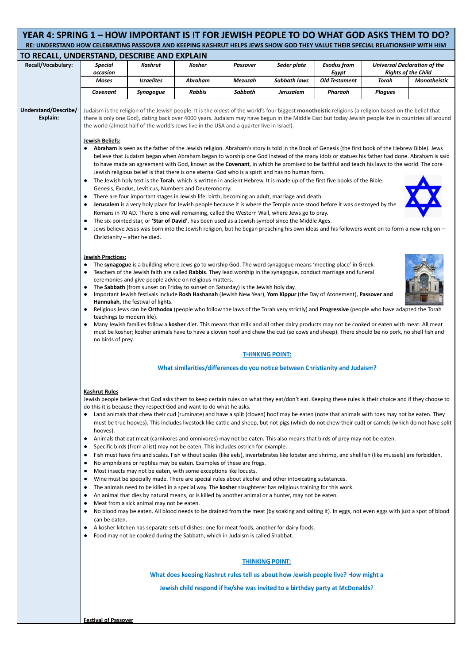| YEAR 4: SPRING 1 – HOW IMPORTANT IS IT FOR JEWISH PEOPLE TO DO WHAT GOD ASKS THEM TO DO?                                       |                                                                                                                                                                                                                                                                                                                                                                                                                                                                                                                                                                                                                                                                                                                                                                                                                                                                                                                                                                                                                                                                                                                                                                                                                                                                                                                                                                                                                                          |                                                                                                                                                                                                                                                                                                                                                                                                                                                                                                                                                                                                                                                                                                                                                                                                                                                                                                                                                                                                                                                                                                                                                               |               |                 |                     |                               |                |                                            |  |  |
|--------------------------------------------------------------------------------------------------------------------------------|------------------------------------------------------------------------------------------------------------------------------------------------------------------------------------------------------------------------------------------------------------------------------------------------------------------------------------------------------------------------------------------------------------------------------------------------------------------------------------------------------------------------------------------------------------------------------------------------------------------------------------------------------------------------------------------------------------------------------------------------------------------------------------------------------------------------------------------------------------------------------------------------------------------------------------------------------------------------------------------------------------------------------------------------------------------------------------------------------------------------------------------------------------------------------------------------------------------------------------------------------------------------------------------------------------------------------------------------------------------------------------------------------------------------------------------|---------------------------------------------------------------------------------------------------------------------------------------------------------------------------------------------------------------------------------------------------------------------------------------------------------------------------------------------------------------------------------------------------------------------------------------------------------------------------------------------------------------------------------------------------------------------------------------------------------------------------------------------------------------------------------------------------------------------------------------------------------------------------------------------------------------------------------------------------------------------------------------------------------------------------------------------------------------------------------------------------------------------------------------------------------------------------------------------------------------------------------------------------------------|---------------|-----------------|---------------------|-------------------------------|----------------|--------------------------------------------|--|--|
| RE: UNDERSTAND HOW CELEBRATING PASSOVER AND KEEPING KASHRUT HELPS JEWS SHOW GOD THEY VALUE THEIR SPECIAL RELATIONSHIP WITH HIM |                                                                                                                                                                                                                                                                                                                                                                                                                                                                                                                                                                                                                                                                                                                                                                                                                                                                                                                                                                                                                                                                                                                                                                                                                                                                                                                                                                                                                                          |                                                                                                                                                                                                                                                                                                                                                                                                                                                                                                                                                                                                                                                                                                                                                                                                                                                                                                                                                                                                                                                                                                                                                               |               |                 |                     |                               |                |                                            |  |  |
| TO RECALL, UNDERSTAND, DESCRIBE AND EXPLAIN                                                                                    |                                                                                                                                                                                                                                                                                                                                                                                                                                                                                                                                                                                                                                                                                                                                                                                                                                                                                                                                                                                                                                                                                                                                                                                                                                                                                                                                                                                                                                          |                                                                                                                                                                                                                                                                                                                                                                                                                                                                                                                                                                                                                                                                                                                                                                                                                                                                                                                                                                                                                                                                                                                                                               |               |                 |                     |                               |                |                                            |  |  |
| Recall/Vocabulary:                                                                                                             | <b>Special</b>                                                                                                                                                                                                                                                                                                                                                                                                                                                                                                                                                                                                                                                                                                                                                                                                                                                                                                                                                                                                                                                                                                                                                                                                                                                                                                                                                                                                                           | Kashrut                                                                                                                                                                                                                                                                                                                                                                                                                                                                                                                                                                                                                                                                                                                                                                                                                                                                                                                                                                                                                                                                                                                                                       | <b>Kosher</b> | <b>Passover</b> | Seder plate         | <b>Exodus from</b>            |                | <b>Universal Declaration of the</b>        |  |  |
|                                                                                                                                | occasion<br><b>Moses</b>                                                                                                                                                                                                                                                                                                                                                                                                                                                                                                                                                                                                                                                                                                                                                                                                                                                                                                                                                                                                                                                                                                                                                                                                                                                                                                                                                                                                                 | <b>Israelites</b>                                                                                                                                                                                                                                                                                                                                                                                                                                                                                                                                                                                                                                                                                                                                                                                                                                                                                                                                                                                                                                                                                                                                             | Abraham       | <b>Mezuzah</b>  | <b>Sabbath laws</b> | Egypt<br><b>Old Testament</b> | <b>Torah</b>   | <b>Rights of the Child</b><br>Monotheistic |  |  |
|                                                                                                                                | Covenant                                                                                                                                                                                                                                                                                                                                                                                                                                                                                                                                                                                                                                                                                                                                                                                                                                                                                                                                                                                                                                                                                                                                                                                                                                                                                                                                                                                                                                 | <b>Synagogue</b>                                                                                                                                                                                                                                                                                                                                                                                                                                                                                                                                                                                                                                                                                                                                                                                                                                                                                                                                                                                                                                                                                                                                              | <b>Rabbis</b> | Sabbath         | <b>Jerusalem</b>    | Pharaoh                       | <b>Plagues</b> |                                            |  |  |
|                                                                                                                                |                                                                                                                                                                                                                                                                                                                                                                                                                                                                                                                                                                                                                                                                                                                                                                                                                                                                                                                                                                                                                                                                                                                                                                                                                                                                                                                                                                                                                                          |                                                                                                                                                                                                                                                                                                                                                                                                                                                                                                                                                                                                                                                                                                                                                                                                                                                                                                                                                                                                                                                                                                                                                               |               |                 |                     |                               |                |                                            |  |  |
| Understand/Describe/<br><b>Explain:</b>                                                                                        | Judaism is the religion of the Jewish people. It is the oldest of the world's four biggest monotheistic religions (a religion based on the belief that<br>there is only one God), dating back over 4000 years. Judaism may have begun in the Middle East but today Jewish people live in countries all around<br>the world (almost half of the world's Jews live in the USA and a quarter live in Israel).<br><b>Jewish Beliefs:</b>                                                                                                                                                                                                                                                                                                                                                                                                                                                                                                                                                                                                                                                                                                                                                                                                                                                                                                                                                                                                     |                                                                                                                                                                                                                                                                                                                                                                                                                                                                                                                                                                                                                                                                                                                                                                                                                                                                                                                                                                                                                                                                                                                                                               |               |                 |                     |                               |                |                                            |  |  |
|                                                                                                                                | Abraham is seen as the father of the Jewish religion. Abraham's story is told in the Book of Genesis (the first book of the Hebrew Bible). Jews<br>$\bullet$<br>believe that Judaism began when Abraham began to worship one God instead of the many idols or statues his father had done. Abraham is said<br>to have made an agreement with God, known as the Covenant, in which he promised to be faithful and teach his laws to the world. The core<br>Jewish religious belief is that there is one eternal God who is a spirit and has no human form.<br>The Jewish holy text is the Torah, which is written in ancient Hebrew. It is made up of the first five books of the Bible:<br>$\bullet$<br>Genesis, Exodus, Leviticus, Numbers and Deuteronomy.<br>There are four important stages in Jewish life: birth, becoming an adult, marriage and death.<br>$\bullet$<br>Jerusalem is a very holy place for Jewish people because it is where the Temple once stood before it was destroyed by the<br>$\bullet$<br>Romans in 70 AD. There is one wall remaining, called the Western Wall, where Jews go to pray.<br>The six-pointed star, or 'Star of David', has been used as a Jewish symbol since the Middle Ages.<br>$\bullet$<br>Jews believe Jesus was born into the Jewish religion, but he began preaching his own ideas and his followers went on to form a new religion -<br>$\bullet$<br>Christianity $-$ after he died. |                                                                                                                                                                                                                                                                                                                                                                                                                                                                                                                                                                                                                                                                                                                                                                                                                                                                                                                                                                                                                                                                                                                                                               |               |                 |                     |                               |                |                                            |  |  |
|                                                                                                                                | <b>Jewish Practices:</b><br>The synagogue is a building where Jews go to worship God. The word synagogue means 'meeting place' in Greek.<br>$\bullet$<br>Teachers of the Jewish faith are called Rabbis. They lead worship in the synagogue, conduct marriage and funeral<br>ceremonies and give people advice on religious matters.<br>The Sabbath (from sunset on Friday to sunset on Saturday) is the Jewish holy day.<br>$\bullet$<br>Important Jewish festivals include Rosh Hashanah (Jewish New Year), Yom Kippur (the Day of Atonement), Passover and<br>Hannukah, the festival of lights.<br>Religious Jews can be Orthodox (people who follow the laws of the Torah very strictly) and Progressive (people who have adapted the Torah<br>$\bullet$<br>teachings to modern life).<br>Many Jewish families follow a kosher diet. This means that milk and all other dairy products may not be cooked or eaten with meat. All meat<br>must be kosher; kosher animals have to have a cloven hoof and chew the cud (so cows and sheep). There should be no pork, no shell fish and<br>no birds of prey.                                                                                                                                                                                                                                                                                                                             |                                                                                                                                                                                                                                                                                                                                                                                                                                                                                                                                                                                                                                                                                                                                                                                                                                                                                                                                                                                                                                                                                                                                                               |               |                 |                     |                               |                |                                            |  |  |
|                                                                                                                                | <b>THINKING POINT:</b>                                                                                                                                                                                                                                                                                                                                                                                                                                                                                                                                                                                                                                                                                                                                                                                                                                                                                                                                                                                                                                                                                                                                                                                                                                                                                                                                                                                                                   |                                                                                                                                                                                                                                                                                                                                                                                                                                                                                                                                                                                                                                                                                                                                                                                                                                                                                                                                                                                                                                                                                                                                                               |               |                 |                     |                               |                |                                            |  |  |
|                                                                                                                                |                                                                                                                                                                                                                                                                                                                                                                                                                                                                                                                                                                                                                                                                                                                                                                                                                                                                                                                                                                                                                                                                                                                                                                                                                                                                                                                                                                                                                                          | What similarities/differences do you notice between Christianity and Judaism?                                                                                                                                                                                                                                                                                                                                                                                                                                                                                                                                                                                                                                                                                                                                                                                                                                                                                                                                                                                                                                                                                 |               |                 |                     |                               |                |                                            |  |  |
|                                                                                                                                | <b>Kashrut Rules</b><br>$\bullet$<br>hooves).<br>$\bullet$<br>$\bullet$<br>$\bullet$<br>$\bullet$<br>$\bullet$<br>$\bullet$                                                                                                                                                                                                                                                                                                                                                                                                                                                                                                                                                                                                                                                                                                                                                                                                                                                                                                                                                                                                                                                                                                                                                                                                                                                                                                              | Jewish people believe that God asks them to keep certain rules on what they eat/don't eat. Keeping these rules is their choice and if they choose to<br>do this it is because they respect God and want to do what he asks.<br>Land animals that chew their cud (ruminate) and have a split (cloven) hoof may be eaten (note that animals with toes may not be eaten. They<br>must be true hooves). This includes livestock like cattle and sheep, but not pigs (which do not chew their cud) or camels (which do not have split<br>Animals that eat meat (carnivores and omnivores) may not be eaten. This also means that birds of prey may not be eaten.<br>Specific birds (from a list) may not be eaten. This includes ostrich for example.<br>Fish must have fins and scales. Fish without scales (like eels), invertebrates like lobster and shrimp, and shellfish (like mussels) are forbidden.<br>No amphibians or reptiles may be eaten. Examples of these are frogs.<br>Most insects may not be eaten, with some exceptions like locusts.<br>Wine must be specially made. There are special rules about alcohol and other intoxicating substances. |               |                 |                     |                               |                |                                            |  |  |

- The animals need to be killed in a special way. The **kosher** slaughterer has religious training for this work.
- An animal that dies by natural means, or is killed by another animal or a hunter, may not be eaten.
- Meat from a sick animal may not be eaten.
- No blood may be eaten. All blood needs to be drained from the meat (by soaking and salting it). In eggs, not even eggs with just a spot of blood can be eaten.
- A kosher kitchen has separate sets of dishes: one for meat foods, another for dairy foods.
- Food may not be cooked during the Sabbath, which in Judaism is called Shabbat.

### **THINKING POINT:**

What does keeping Kashrut rules tell us about how Jewish people live? How might a

Jewish child respond if he/she was invited to a birthday party at McDonalds?

**Festival of Passover**